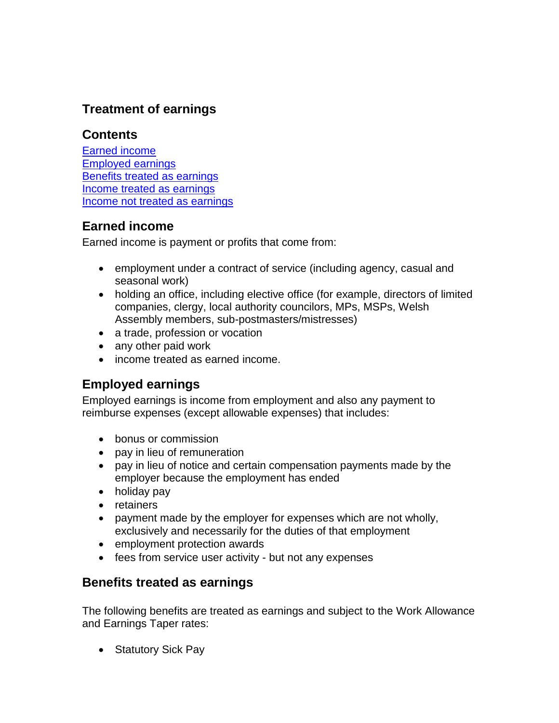# **Treatment of earnings**

# **Contents**

[Earned income](#page-0-0) [Employed earnings](#page-0-1) [Benefits treated as earnings](#page-0-2) Income treated [as earnings](#page-1-0) [Income not treated as earnings](#page-3-0)

# <span id="page-0-0"></span>**Earned income**

Earned income is payment or profits that come from:

- employment under a contract of service (including agency, casual and seasonal work)
- holding an office, including elective office (for example, directors of limited companies, clergy, local authority councilors, MPs, MSPs, Welsh Assembly members, sub-postmasters/mistresses)
- a trade, profession or vocation
- any other paid work
- income treated as earned income.

# <span id="page-0-1"></span>**Employed earnings**

Employed earnings is income from employment and also any payment to reimburse expenses (except allowable expenses) that includes:

- bonus or commission
- pay in lieu of remuneration
- pay in lieu of notice and certain compensation payments made by the employer because the employment has ended
- holiday pay
- retainers
- payment made by the employer for expenses which are not wholly, exclusively and necessarily for the duties of that employment
- employment protection awards
- fees from service user activity but not any expenses

# <span id="page-0-2"></span>**Benefits treated as earnings**

The following benefits are treated as earnings and subject to the Work Allowance and Earnings Taper rates:

• Statutory Sick Pay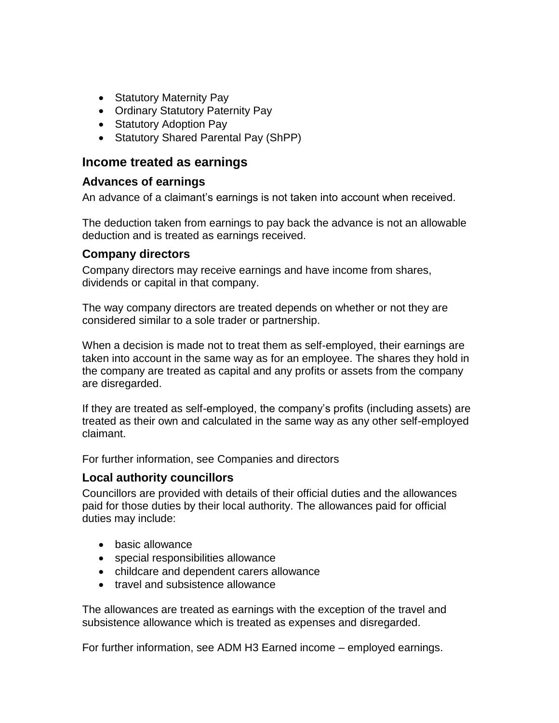- Statutory Maternity Pay
- Ordinary Statutory Paternity Pay
- Statutory Adoption Pay
- Statutory Shared Parental Pay (ShPP)

# <span id="page-1-0"></span>**Income treated as earnings**

#### **Advances of earnings**

An advance of a claimant's earnings is not taken into account when received.

The deduction taken from earnings to pay back the advance is not an allowable deduction and is treated as earnings received.

#### **Company directors**

Company directors may receive earnings and have income from shares, dividends or capital in that company.

The way company directors are treated depends on whether or not they are considered similar to a sole trader or partnership.

When a decision is made not to treat them as self-employed, their earnings are taken into account in the same way as for an employee. The shares they hold in the company are treated as capital and any profits or assets from the company are disregarded.

If they are treated as self-employed, the company's profits (including assets) are treated as their own and calculated in the same way as any other self-employed claimant.

For further information, see Companies and directors

# **Local authority councillors**

Councillors are provided with details of their official duties and the allowances paid for those duties by their local authority. The allowances paid for official duties may include:

- basic allowance
- special responsibilities allowance
- childcare and dependent carers allowance
- travel and subsistence allowance

The allowances are treated as earnings with the exception of the travel and subsistence allowance which is treated as expenses and disregarded.

For further information, see ADM H3 Earned income – employed earnings.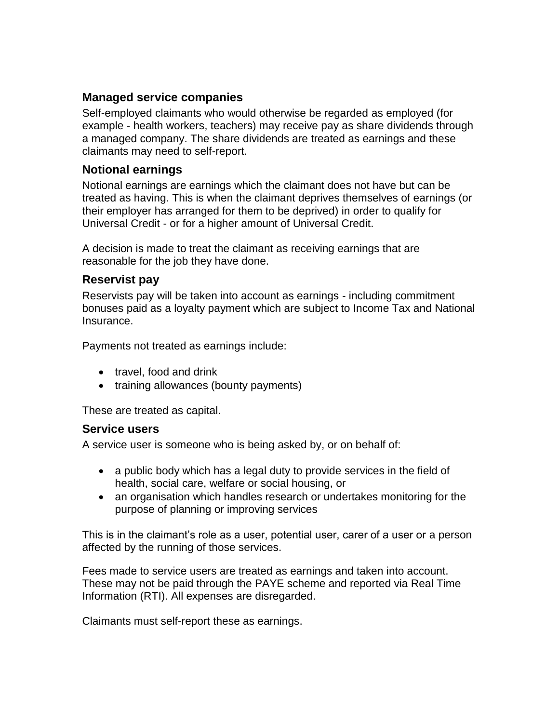# **Managed service companies**

Self-employed claimants who would otherwise be regarded as employed (for example - health workers, teachers) may receive pay as share dividends through a managed company. The share dividends are treated as earnings and these claimants may need to self-report.

# **Notional earnings**

Notional earnings are earnings which the claimant does not have but can be treated as having. This is when the claimant deprives themselves of earnings (or their employer has arranged for them to be deprived) in order to qualify for Universal Credit - or for a higher amount of Universal Credit.

A decision is made to treat the claimant as receiving earnings that are reasonable for the job they have done.

#### **Reservist pay**

Reservists pay will be taken into account as earnings - including commitment bonuses paid as a loyalty payment which are subject to Income Tax and National Insurance.

Payments not treated as earnings include:

- travel, food and drink
- training allowances (bounty payments)

These are treated as capital.

#### **Service users**

A service user is someone who is being asked by, or on behalf of:

- a public body which has a legal duty to provide services in the field of health, social care, welfare or social housing, or
- an organisation which handles research or undertakes monitoring for the purpose of planning or improving services

This is in the claimant's role as a user, potential user, carer of a user or a person affected by the running of those services.

Fees made to service users are treated as earnings and taken into account. These may not be paid through the PAYE scheme and reported via Real Time Information (RTI). All expenses are disregarded.

Claimants must self-report these as earnings.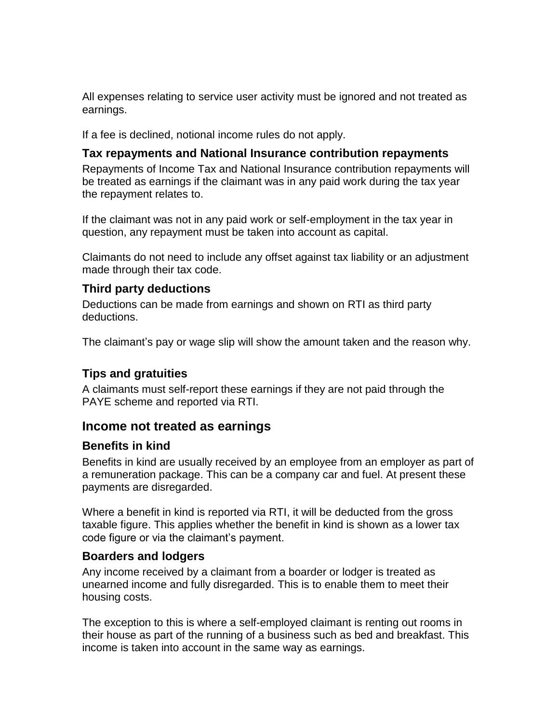All expenses relating to service user activity must be ignored and not treated as earnings.

If a fee is declined, notional income rules do not apply.

#### **Tax repayments and National Insurance contribution repayments**

Repayments of Income Tax and National Insurance contribution repayments will be treated as earnings if the claimant was in any paid work during the tax year the repayment relates to.

If the claimant was not in any paid work or self-employment in the tax year in question, any repayment must be taken into account as capital.

Claimants do not need to include any offset against tax liability or an adjustment made through their tax code.

# **Third party deductions**

Deductions can be made from earnings and shown on RTI as third party deductions.

The claimant's pay or wage slip will show the amount taken and the reason why.

# **Tips and gratuities**

A claimants must self-report these earnings if they are not paid through the PAYE scheme and reported via RTI.

# <span id="page-3-0"></span>**Income not treated as earnings**

#### **Benefits in kind**

Benefits in kind are usually received by an employee from an employer as part of a remuneration package. This can be a company car and fuel. At present these payments are disregarded.

Where a benefit in kind is reported via RTI, it will be deducted from the gross taxable figure. This applies whether the benefit in kind is shown as a lower tax code figure or via the claimant's payment.

# **Boarders and lodgers**

Any income received by a claimant from a boarder or lodger is treated as unearned income and fully disregarded. This is to enable them to meet their housing costs.

The exception to this is where a self-employed claimant is renting out rooms in their house as part of the running of a business such as bed and breakfast. This income is taken into account in the same way as earnings.